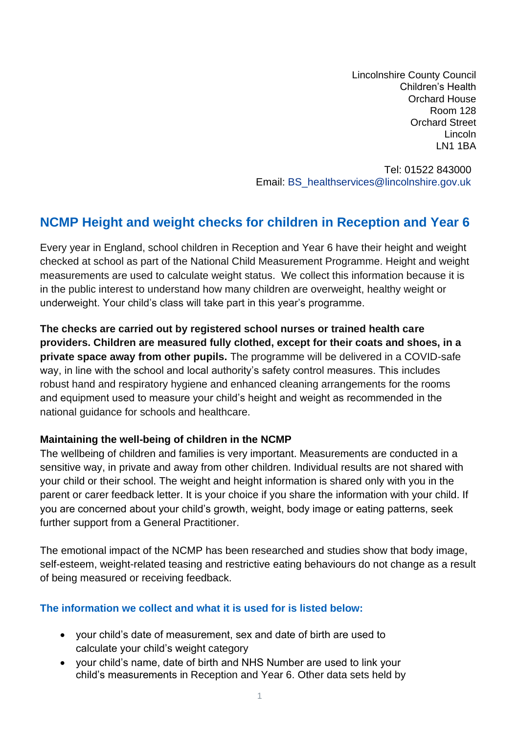Lincolnshire County Council Children's Health Orchard House Room 128 Orchard Street Lincoln LN1 1BA

Tel: 01522 843000 Email: [BS\\_healthservices@lincolnshire.gov.uk](mailto:BS_healthservices@lincolnshire.gov.uk)

# **NCMP Height and weight checks for children in Reception and Year 6**

Every year in England, school children in Reception and Year 6 have their height and weight checked at school as part of the National Child Measurement Programme. Height and weight measurements are used to calculate weight status. We collect this information because it is in the public interest to understand how many children are overweight, healthy weight or underweight. Your child's class will take part in this year's programme.

**The checks are carried out by registered school nurses or trained health care providers. Children are measured fully clothed, except for their coats and shoes, in a private space away from other pupils.** The programme will be delivered in a COVID-safe way, in line with the school and local authority's safety control measures. This includes robust hand and respiratory hygiene and enhanced cleaning arrangements for the rooms and equipment used to measure your child's height and weight as recommended in the national guidance for schools and healthcare.

#### **Maintaining the well-being of children in the NCMP**

The wellbeing of children and families is very important. Measurements are conducted in a sensitive way, in private and away from other children. Individual results are not shared with your child or their school. The weight and height information is shared only with you in the parent or carer feedback letter. It is your choice if you share the information with your child. If you are concerned about your child's growth, weight, body image or eating patterns, seek further support from a General Practitioner.

The emotional impact of the NCMP has been researched and studies show that body image, self-esteem, weight-related teasing and restrictive eating behaviours do not change as a result of being measured or receiving feedback.

#### **The information we collect and what it is used for is listed below:**

- your child's date of measurement, sex and date of birth are used to calculate your child's weight category
- your child's name, date of birth and NHS Number are used to link your child's measurements in Reception and Year 6. Other data sets held by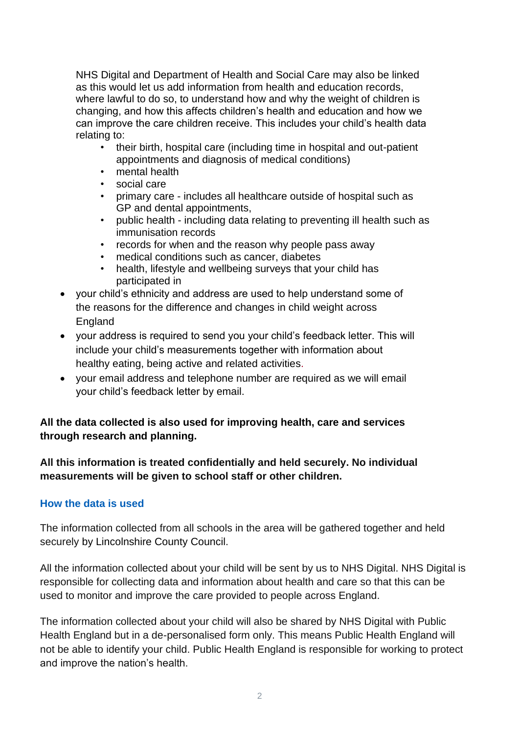NHS Digital and Department of Health and Social Care may also be linked as this would let us add information from health and education records, where lawful to do so, to understand how and why the weight of children is changing, and how this affects children's health and education and how we can improve the care children receive. This includes your child's health data relating to:

- their birth, hospital care (including time in hospital and out-patient appointments and diagnosis of medical conditions)
- mental health
- social care
- primary care includes all healthcare outside of hospital such as GP and dental appointments,
- public health including data relating to preventing ill health such as immunisation records
- records for when and the reason why people pass away
- medical conditions such as cancer, diabetes
- health, lifestyle and wellbeing surveys that your child has participated in
- your child's ethnicity and address are used to help understand some of the reasons for the difference and changes in child weight across England
- your address is required to send you your child's feedback letter. This will include your child's measurements together with information about healthy eating, being active and related activities.
- your email address and telephone number are required as we will email your child's feedback letter by email.

# **All the data collected is also used for improving health, care and services through research and planning.**

**All this information is treated confidentially and held securely. No individual measurements will be given to school staff or other children.**

# **How the data is used**

The information collected from all schools in the area will be gathered together and held securely by Lincolnshire County Council.

All the information collected about your child will be sent by us to NHS Digital. NHS Digital is responsible for collecting data and information about health and care so that this can be used to monitor and improve the care provided to people across England.

The information collected about your child will also be shared by NHS Digital with Public Health England but in a de-personalised form only. This means Public Health England will not be able to identify your child. Public Health England is responsible for working to protect and improve the nation's health.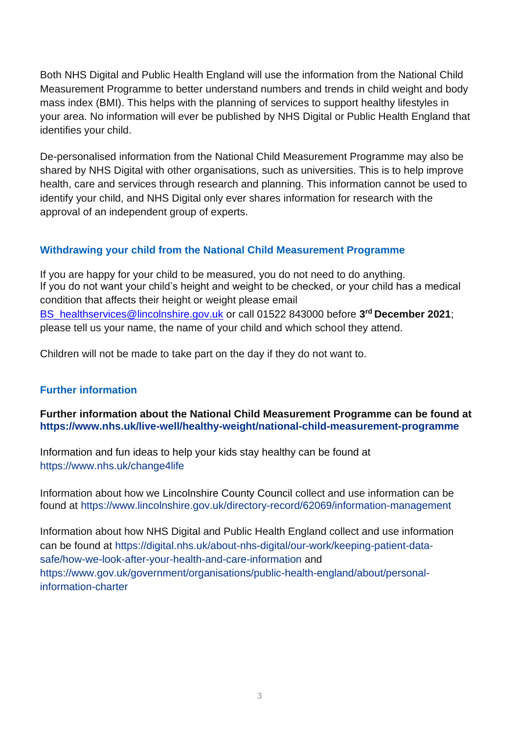Both NHS Digital and Public Health England will use the information from the National Child Measurement Programme to better understand numbers and trends in child weight and body mass index (BMI). This helps with the planning of services to support healthy lifestyles in your area. No information will ever be published by NHS Digital or Public Health England that identifies your child.

De-personalised information from the National Child Measurement Programme may also be shared by NHS Digital with other organisations, such as universities. This is to help improve health, care and services through research and planning. This information cannot be used to identify your child, and NHS Digital only ever shares information for research with the approval of an independent group of experts.

### **Withdrawing your child from the National Child Measurement Programme**

If you are happy for your child to be measured, you do not need to do anything. If you do not want your child's height and weight to be checked, or your child has a medical condition that affects their height or weight please email [BS\\_healthservices@lincolnshire.gov.uk](mailto:BS_healthservices@lincolnshire.gov.uk) or call 01522 843000 before **3 rd December 2021**; please tell us your name, the name of your child and which school they attend.

Children will not be made to take part on the day if they do not want to.

### **Further information**

**Further information about the National Child Measurement Programme can be found at [https://www.nhs.uk/live-well/healthy-weight/national-child-measurement-programme](https://www.nhs.uk/live-well/healthy-weight/national-child-measurement-programme/)**

Information and fun ideas to help your kids stay healthy can be found at <https://www.nhs.uk/change4life>

Information about how we Lincolnshire County Council collect and use information can be found at<https://www.lincolnshire.gov.uk/directory-record/62069/information-management>

Information about how NHS Digital and Public Health England collect and use information can be found at [https://digital.nhs.uk/about-nhs-digital/our-work/keeping-patient-data](https://digital.nhs.uk/about-nhs-digital/our-work/keeping-patient-data-safe/how-we-look-after-your-health-and-care-information)[safe/how-we-look-after-your-health-and-care-information](https://digital.nhs.uk/about-nhs-digital/our-work/keeping-patient-data-safe/how-we-look-after-your-health-and-care-information) and [https://www.gov.uk/government/organisations/public-health-england/about/personal](https://www.gov.uk/government/organisations/public-health-england/about/personal-information-charter)[information-charter](https://www.gov.uk/government/organisations/public-health-england/about/personal-information-charter)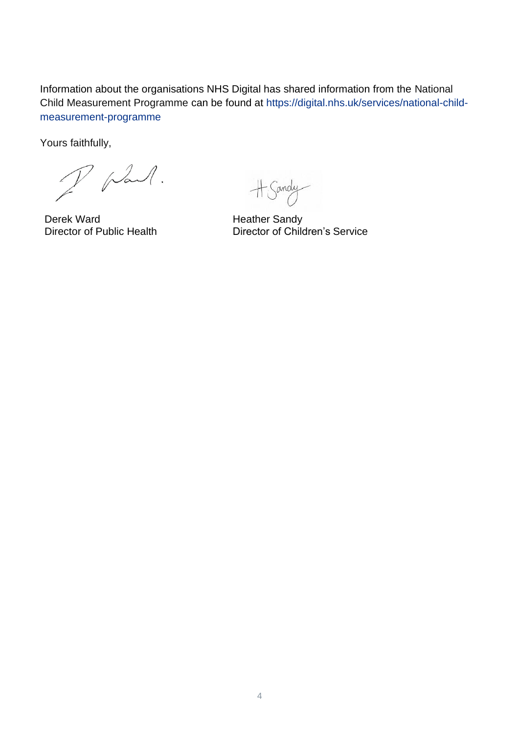Information about the organisations NHS Digital has shared information from the National Child Measurement Programme can be found at [https://digital.nhs.uk/services/national-child](https://digital.nhs.uk/services/national-child-measurement-programme/)[measurement-programme](https://digital.nhs.uk/services/national-child-measurement-programme/)

Yours faithfully,

plant.

Derek Ward<br>
Director of Public Health<br>
Director of Chile

+ Sandy

Director of Children's Service